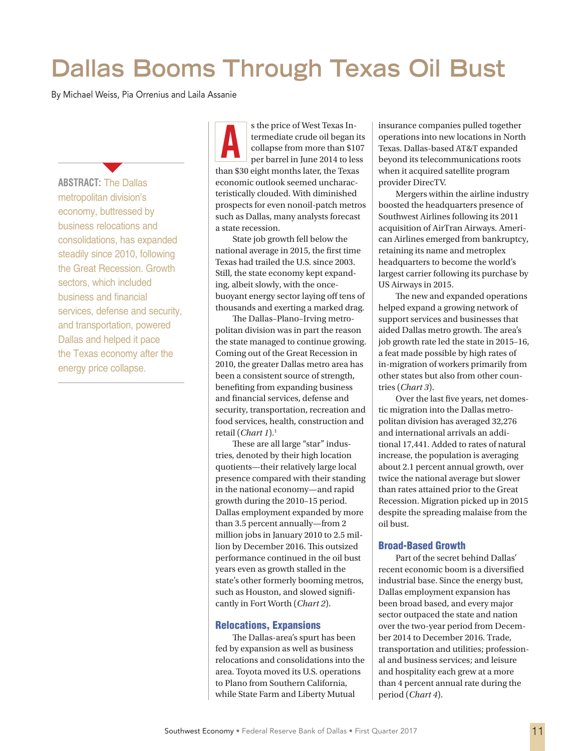# **Dallas Booms Through Texas Oil Bust**

By Michael Weiss, Pia Orrenius and Laila Assanie

**ABSTRACT:** The Dallas metropolitan division's economy, buttressed by business relocations and consolidations, has expanded steadily since 2010, following the Great Recession. Growth sectors, which included business and financial services, defense and security, and transportation, powered Dallas and helped it pace the Texas economy after the energy price collapse.

 $\blacktriangledown$ 

s the price of West Texas Intermediate crude oil began its collapse from more than \$107 per barrel in June 2014 to less than \$30 eight months later, the Texas economic outlook seemed uncharacteristically clouded. With diminished prospects for even nonoil-patch metros such as Dallas, many analysts forecast a state recession. s the price of West Texas In-<br>termediate crude oil began its<br>collapse from more than \$107<br>per barrel in June 2014 to less<br>collapse from the 2014 to less<br>beyond its telecommunications roots

State job growth fell below the national average in 2015, the first time Texas had trailed the U.S. since 2003. Still, the state economy kept expanding, albeit slowly, with the oncebuoyant energy sector laying off tens of thousands and exerting a marked drag.

The Dallas–Plano–Irving metropolitan division was in part the reason the state managed to continue growing. Coming out of the Great Recession in 2010, the greater Dallas metro area has been a consistent source of strength, benefiting from expanding business and financial services, defense and security, transportation, recreation and food services, health, construction and retail (*Chart 1*).1

These are all large "star" industries, denoted by their high location quotients—their relatively large local presence compared with their standing in the national economy—and rapid growth during the 2010–15 period. Dallas employment expanded by more than 3.5 percent annually—from 2 million jobs in January 2010 to 2.5 million by December 2016. This outsized performance continued in the oil bust years even as growth stalled in the state's other formerly booming metros, such as Houston, and slowed significantly in Fort Worth (*Chart 2*).

### Relocations, Expansions

The Dallas-area's spurt has been fed by expansion as well as business relocations and consolidations into the area. Toyota moved its U.S. operations to Plano from Southern California, while State Farm and Liberty Mutual

operations into new locations in North Texas. Dallas-based AT&T expanded beyond its telecommunications roots when it acquired satellite program provider DirecTV.

Mergers within the airline industry boosted the headquarters presence of Southwest Airlines following its 2011 acquisition of AirTran Airways. American Airlines emerged from bankruptcy, retaining its name and metroplex headquarters to become the world's largest carrier following its purchase by US Airways in 2015.

The new and expanded operations helped expand a growing network of support services and businesses that aided Dallas metro growth. The area's job growth rate led the state in 2015–16, a feat made possible by high rates of in-migration of workers primarily from other states but also from other countries (*Chart 3*).

Over the last five years, net domestic migration into the Dallas metropolitan division has averaged 32,276 and international arrivals an additional 17,441. Added to rates of natural increase, the population is averaging about 2.1 percent annual growth, over twice the national average but slower than rates attained prior to the Great Recession. Migration picked up in 2015 despite the spreading malaise from the oil bust.

### Broad-Based Growth

Part of the secret behind Dallas' recent economic boom is a diversified industrial base. Since the energy bust, Dallas employment expansion has been broad based, and every major sector outpaced the state and nation over the two-year period from December 2014 to December 2016. Trade, transportation and utilities; professional and business services; and leisure and hospitality each grew at a more than 4 percent annual rate during the period (*Chart 4*).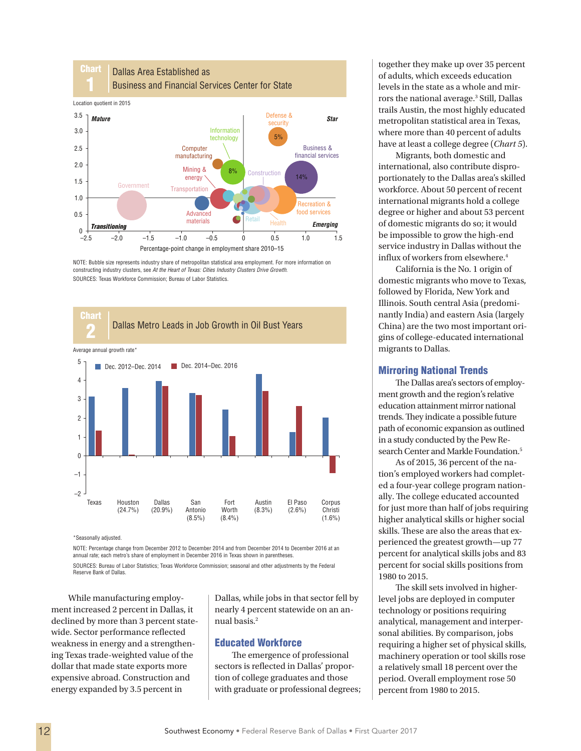

NOTE: Bubble size represents industry share of metropolitan statistical area employment. For more information on constructing industry clusters, see *At the Heart of Texas: Cities Industry Clusters Drive Growth*. SOURCES: Texas Workforce Commission; Bureau of Labor Statistics.



\*Seasonally adjusted.

NOTE: Percentage change from December 2012 to December 2014 and from December 2014 to December 2016 at an annual rate; each metro's share of employment in December 2016 in Texas shown in parentheses. SOURCES: Bureau of Labor Statistics; Texas Workforce Commission; seasonal and other adjustments by the Federal

Reserve Bank of Dallas.

While manufacturing employment increased 2 percent in Dallas, it declined by more than 3 percent statewide. Sector performance reflected weakness in energy and a strengthening Texas trade-weighted value of the dollar that made state exports more expensive abroad. Construction and energy expanded by 3.5 percent in

Dallas, while jobs in that sector fell by nearly 4 percent statewide on an annual basis.2

# Educated Workforce

The emergence of professional sectors is reflected in Dallas' proportion of college graduates and those with graduate or professional degrees;

together they make up over 35 percent of adults, which exceeds education levels in the state as a whole and mirrors the national average.<sup>3</sup> Still, Dallas trails Austin, the most highly educated metropolitan statistical area in Texas, where more than 40 percent of adults have at least a college degree (*Chart 5*).

Migrants, both domestic and international, also contribute disproportionately to the Dallas area's skilled workforce. About 50 percent of recent international migrants hold a college degree or higher and about 53 percent of domestic migrants do so; it would be impossible to grow the high-end service industry in Dallas without the influx of workers from elsewhere.4

California is the No. 1 origin of domestic migrants who move to Texas, followed by Florida, New York and Illinois. South central Asia (predominantly India) and eastern Asia (largely China) are the two most important origins of college-educated international migrants to Dallas.

## Mirroring National Trends

The Dallas area's sectors of employment growth and the region's relative education attainment mirror national trends. They indicate a possible future path of economic expansion as outlined in a study conducted by the Pew Research Center and Markle Foundation.<sup>5</sup>

As of 2015, 36 percent of the nation's employed workers had completed a four-year college program nationally. The college educated accounted for just more than half of jobs requiring higher analytical skills or higher social skills. These are also the areas that experienced the greatest growth—up 77 percent for analytical skills jobs and 83 percent for social skills positions from 1980 to 2015.

The skill sets involved in higherlevel jobs are deployed in computer technology or positions requiring analytical, management and interpersonal abilities. By comparison, jobs requiring a higher set of physical skills, machinery operation or tool skills rose a relatively small 18 percent over the period. Overall employment rose 50 percent from 1980 to 2015.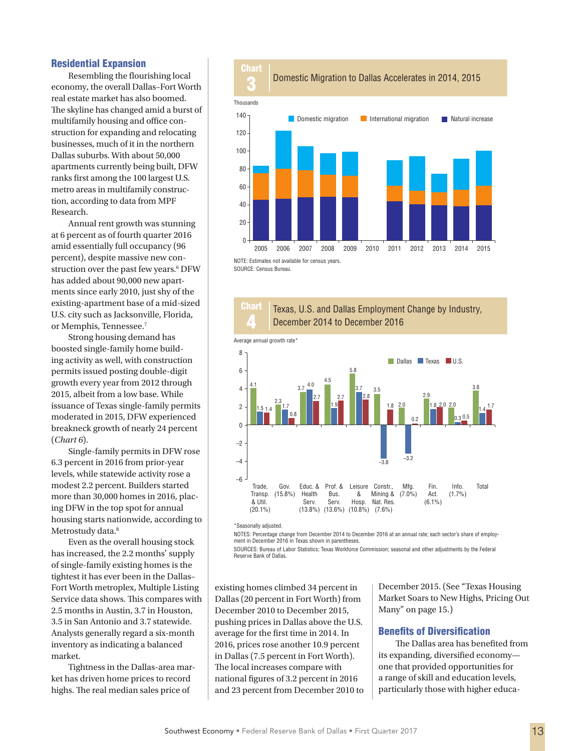#### Residential Expansion

Resembling the flourishing local economy, the overall Dallas–Fort Worth real estate market has also boomed. The skyline has changed amid a burst of multifamily housing and office construction for expanding and relocating businesses, much of it in the northern Dallas suburbs. With about 50,000 apartments currently being built, DFW ranks first among the 100 largest U.S. metro areas in multifamily construction, according to data from MPF Research.

Annual rent growth was stunning at 6 percent as of fourth quarter 2016 amid essentially full occupancy (96 percent), despite massive new construction over the past few years.<sup>6</sup> DFW has added about 90,000 new apartments since early 2010, just shy of the existing-apartment base of a mid-sized U.S. city such as Jacksonville, Florida, or Memphis, Tennessee.7

Strong housing demand has boosted single-family home building activity as well, with construction permits issued posting double-digit growth every year from 2012 through 2015, albeit from a low base. While issuance of Texas single-family permits moderated in 2015, DFW experienced breakneck growth of nearly 24 percent (*Chart 6*).

Single-family permits in DFW rose 6.3 percent in 2016 from prior-year levels, while statewide activity rose a modest 2.2 percent. Builders started more than 30,000 homes in 2016, placing DFW in the top spot for annual housing starts nationwide, according to Metrostudy data.<sup>8</sup>

Even as the overall housing stock has increased, the 2.2 months' supply of single-family existing homes is the tightest it has ever been in the Dallas– Fort Worth metroplex, Multiple Listing Service data shows. This compares with 2.5 months in Austin, 3.7 in Houston, 3.5 in San Antonio and 3.7 statewide. Analysts generally regard a six-month inventory as indicating a balanced market.

Tightness in the Dallas-area market has driven home prices to record highs. The real median sales price of



NOTE: Estimates not available for census years. SOURCE: Census Bureau.

> Chart 4

Texas, U.S. and Dallas Employment Change by Industry,





\*Seasonally adjusted.

NOTES: Percentage change from December 2014 to December 2016 at an annual rate; each sector's share of employment in December 2016 in Texas shown in parentheses.

SOURCES: Bureau of Labor Statistics; Texas Workforce Commission; seasonal and other adjustments by the Federal Reserve Bank of Dallas.

existing homes climbed 34 percent in Dallas (20 percent in Fort Worth) from December 2010 to December 2015, pushing prices in Dallas above the U.S. average for the first time in 2014. In 2016, prices rose another 10.9 percent in Dallas (7.5 percent in Fort Worth). The local increases compare with national figures of 3.2 percent in 2016 and 23 percent from December 2010 to

December 2015. (See "Texas Housing Market Soars to New Highs, Pricing Out Many" on page 15.)

## Benefits of Diversification

The Dallas area has benefited from its expanding, diversified economy one that provided opportunities for a range of skill and education levels, particularly those with higher educa-